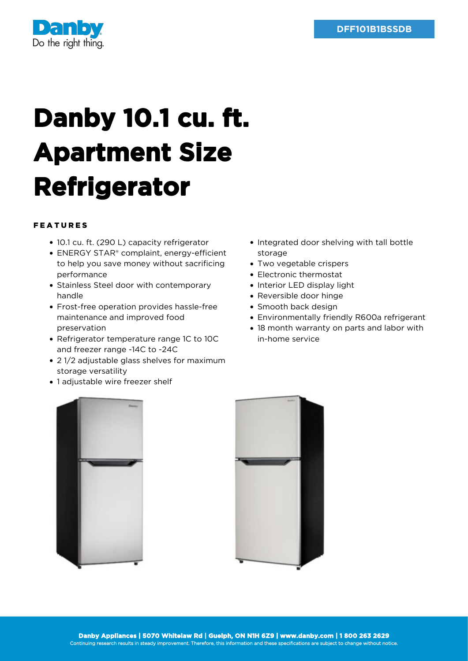

## **Danby 10.1 cu. ft. Apartment Size Refrigerator**

## FEATURES

- 10.1 cu. ft. (290 L) capacity refrigerator
- ENERGY STAR® complaint, energy-efficient to help you save money without sacrificing performance
- Stainless Steel door with contemporary handle
- Frost-free operation provides hassle-free maintenance and improved food preservation
- Refrigerator temperature range 1C to 10C and freezer range -14C to -24C
- 21/2 adjustable glass shelves for maximum storage versatility
- 1 adjustable wire freezer shelf
- Integrated door shelving with tall bottle storage
- Two vegetable crispers
- Electronic thermostat
- Interior LED display light
- Reversible door hinge
- Smooth back design
- Environmentally friendly R600a refrigerant
- 18 month warranty on parts and labor with in-home service